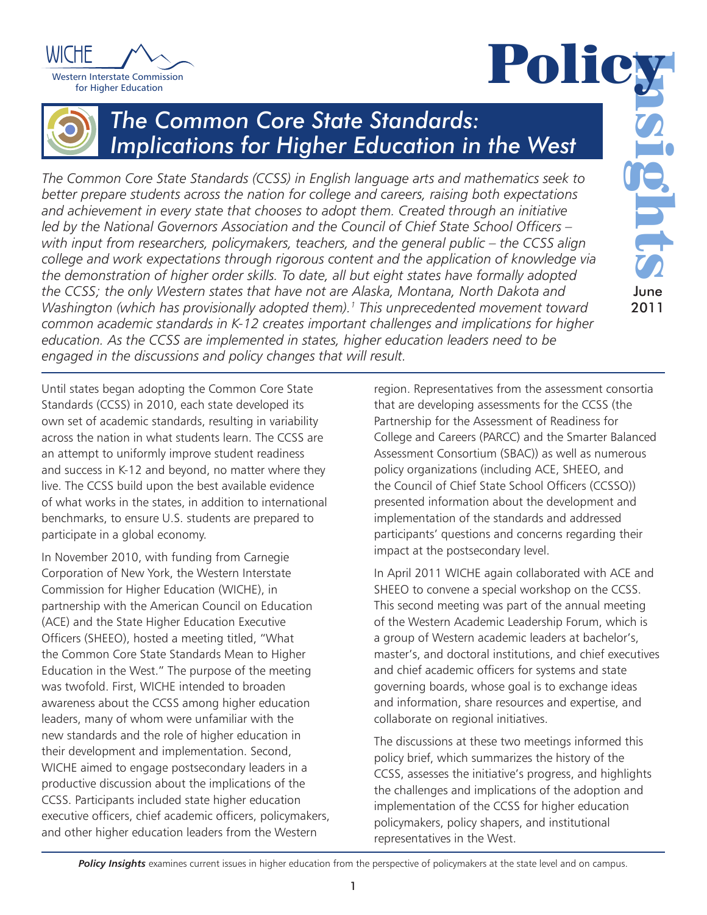



# *The Common Core State Standards: Implications for Higher Education in the West*

*The Common Core State Standards (CCSS) in English language arts and mathematics seek to better prepare students across the nation for college and careers, raising both expectations and achievement in every state that chooses to adopt them. Created through an initiative led by the National Governors Association and the Council of Chief State School Officers – with input from researchers, policymakers, teachers, and the general public – the CCSS align college and work expectations through rigorous content and the application of knowledge via the demonstration of higher order skills. To date, all but eight states have formally adopted the CCSS; the only Western states that have not are Alaska, Montana, North Dakota and Washington (which has provisionally adopted them).1 This unprecedented movement toward common academic standards in K-12 creates important challenges and implications for higher education. As the CCSS are implemented in states, higher education leaders need to be engaged in the discussions and policy changes that will result.* 

Until states began adopting the Common Core State Standards (CCSS) in 2010, each state developed its own set of academic standards, resulting in variability across the nation in what students learn. The CCSS are an attempt to uniformly improve student readiness and success in K-12 and beyond, no matter where they live. The CCSS build upon the best available evidence of what works in the states, in addition to international benchmarks, to ensure U.S. students are prepared to participate in a global economy.

In November 2010, with funding from Carnegie Corporation of New York, the Western Interstate Commission for Higher Education (WICHE), in partnership with the American Council on Education (ACE) and the State Higher Education Executive Officers (SHEEO), hosted a meeting titled, "What the Common Core State Standards Mean to Higher Education in the West." The purpose of the meeting was twofold. First, WICHE intended to broaden awareness about the CCSS among higher education leaders, many of whom were unfamiliar with the new standards and the role of higher education in their development and implementation. Second, WICHE aimed to engage postsecondary leaders in a productive discussion about the implications of the CCSS. Participants included state higher education executive officers, chief academic officers, policymakers, and other higher education leaders from the Western

region. Representatives from the assessment consortia that are developing assessments for the CCSS (the Partnership for the Assessment of Readiness for College and Careers (PARCC) and the Smarter Balanced Assessment Consortium (SBAC)) as well as numerous policy organizations (including ACE, SHEEO, and the Council of Chief State School Officers (CCSSO)) presented information about the development and implementation of the standards and addressed participants' questions and concerns regarding their impact at the postsecondary level.

In April 2011 WICHE again collaborated with ACE and SHEEO to convene a special workshop on the CCSS. This second meeting was part of the annual meeting of the Western Academic Leadership Forum, which is a group of Western academic leaders at bachelor's, master's, and doctoral institutions, and chief executives and chief academic officers for systems and state governing boards, whose goal is to exchange ideas and information, share resources and expertise, and collaborate on regional initiatives.

The discussions at these two meetings informed this policy brief, which summarizes the history of the CCSS, assesses the initiative's progress, and highlights the challenges and implications of the adoption and implementation of the CCSS for higher education policymakers, policy shapers, and institutional representatives in the West.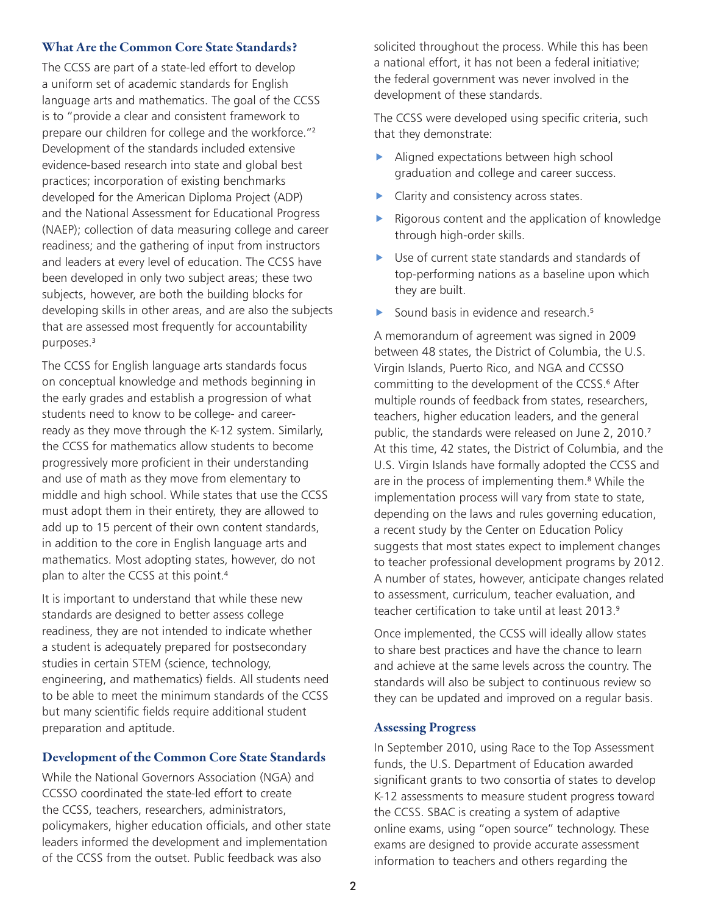## What Are the Common Core State Standards?

The CCSS are part of a state-led effort to develop a uniform set of academic standards for English language arts and mathematics. The goal of the CCSS is to "provide a clear and consistent framework to prepare our children for college and the workforce."<sup>2</sup> Development of the standards included extensive evidence-based research into state and global best practices; incorporation of existing benchmarks developed for the American Diploma Project (ADP) and the National Assessment for Educational Progress (NAEP); collection of data measuring college and career readiness; and the gathering of input from instructors and leaders at every level of education. The CCSS have been developed in only two subject areas; these two subjects, however, are both the building blocks for developing skills in other areas, and are also the subjects that are assessed most frequently for accountability purposes.<sup>3</sup>

The CCSS for English language arts standards focus on conceptual knowledge and methods beginning in the early grades and establish a progression of what students need to know to be college- and careerready as they move through the K-12 system. Similarly, the CCSS for mathematics allow students to become progressively more proficient in their understanding and use of math as they move from elementary to middle and high school. While states that use the CCSS must adopt them in their entirety, they are allowed to add up to 15 percent of their own content standards, in addition to the core in English language arts and mathematics. Most adopting states, however, do not plan to alter the CCSS at this point.<sup>4</sup>

It is important to understand that while these new standards are designed to better assess college readiness, they are not intended to indicate whether a student is adequately prepared for postsecondary studies in certain STEM (science, technology, engineering, and mathematics) fields. All students need to be able to meet the minimum standards of the CCSS but many scientific fields require additional student preparation and aptitude.

# Development of the Common Core State Standards

While the National Governors Association (NGA) and CCSSO coordinated the state-led effort to create the CCSS, teachers, researchers, administrators, policymakers, higher education officials, and other state leaders informed the development and implementation of the CCSS from the outset. Public feedback was also

solicited throughout the process. While this has been a national effort, it has not been a federal initiative; the federal government was never involved in the development of these standards.

The CCSS were developed using specific criteria, such that they demonstrate:

- $\blacktriangleright$  Aligned expectations between high school graduation and college and career success.
- Clarity and consistency across states.
- Rigorous content and the application of knowledge through high-order skills.
- $\blacktriangleright$  Use of current state standards and standards of top-performing nations as a baseline upon which they are built.
- $\blacktriangleright$  Sound basis in evidence and research.<sup>5</sup>

A memorandum of agreement was signed in 2009 between 48 states, the District of Columbia, the U.S. Virgin Islands, Puerto Rico, and NGA and CCSSO committing to the development of the CCSS.<sup>6</sup> After multiple rounds of feedback from states, researchers, teachers, higher education leaders, and the general public, the standards were released on June 2, 2010.<sup>7</sup> At this time, 42 states, the District of Columbia, and the U.S. Virgin Islands have formally adopted the CCSS and are in the process of implementing them.<sup>8</sup> While the implementation process will vary from state to state, depending on the laws and rules governing education, a recent study by the Center on Education Policy suggests that most states expect to implement changes to teacher professional development programs by 2012. A number of states, however, anticipate changes related to assessment, curriculum, teacher evaluation, and teacher certification to take until at least 2013.9

Once implemented, the CCSS will ideally allow states to share best practices and have the chance to learn and achieve at the same levels across the country. The standards will also be subject to continuous review so they can be updated and improved on a regular basis.

### Assessing Progress

In September 2010, using Race to the Top Assessment funds, the U.S. Department of Education awarded significant grants to two consortia of states to develop K-12 assessments to measure student progress toward the CCSS. SBAC is creating a system of adaptive online exams, using "open source" technology. These exams are designed to provide accurate assessment information to teachers and others regarding the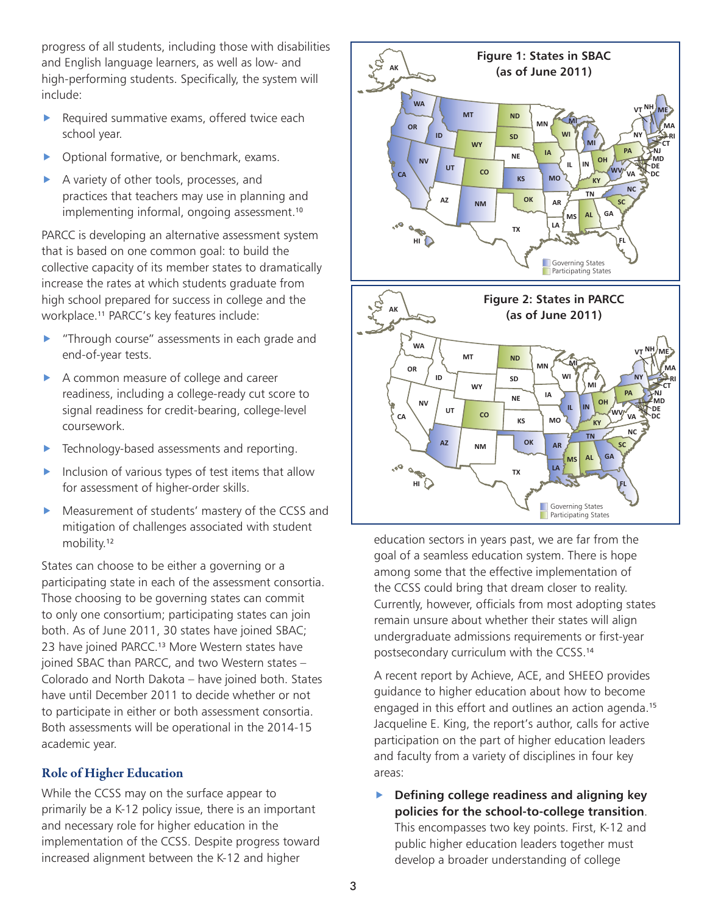progress of all students, including those with disabilities and English language learners, as well as low- and high-performing students. Specifically, the system will include:

- $\blacktriangleright$  Required summative exams, offered twice each school year.
- Optional formative, or benchmark, exams.
- A variety of other tools, processes, and practices that teachers may use in planning and implementing informal, ongoing assessment.<sup>10</sup>

PARCC is developing an alternative assessment system that is based on one common goal: to build the collective capacity of its member states to dramatically increase the rates at which students graduate from high school prepared for success in college and the workplace.11 PARCC's key features include:

- "Through course" assessments in each grade and end-of-year tests.
- A common measure of college and career readiness, including a college-ready cut score to signal readiness for credit-bearing, college-level coursework.
- Technology-based assessments and reporting.
- $\blacktriangleright$  Inclusion of various types of test items that allow for assessment of higher-order skills.
- $\blacktriangleright$  Measurement of students' mastery of the CCSS and mitigation of challenges associated with student mobility.<sup>12</sup>

States can choose to be either a governing or a participating state in each of the assessment consortia. Those choosing to be governing states can commit to only one consortium; participating states can join both. As of June 2011, 30 states have joined SBAC; 23 have joined PARCC.13 More Western states have joined SBAC than PARCC, and two Western states – Colorado and North Dakota – have joined both. States have until December 2011 to decide whether or not to participate in either or both assessment consortia. Both assessments will be operational in the 2014-15 academic year.

# Role of Higher Education

While the CCSS may on the surface appear to primarily be a K-12 policy issue, there is an important and necessary role for higher education in the implementation of the CCSS. Despite progress toward increased alignment between the K-12 and higher



education sectors in years past, we are far from the goal of a seamless education system. There is hope among some that the effective implementation of the CCSS could bring that dream closer to reality. Currently, however, officials from most adopting states remain unsure about whether their states will align undergraduate admissions requirements or first-year postsecondary curriculum with the CCSS.<sup>14</sup>

A recent report by Achieve, ACE, and SHEEO provides guidance to higher education about how to become engaged in this effort and outlines an action agenda.<sup>15</sup> Jacqueline E. King, the report's author, calls for active participation on the part of higher education leaders and faculty from a variety of disciplines in four key areas:

**EXECUTE:** Defining college readiness and aligning key **policies for the school-to-college transition**. This encompasses two key points. First, K-12 and public higher education leaders together must develop a broader understanding of college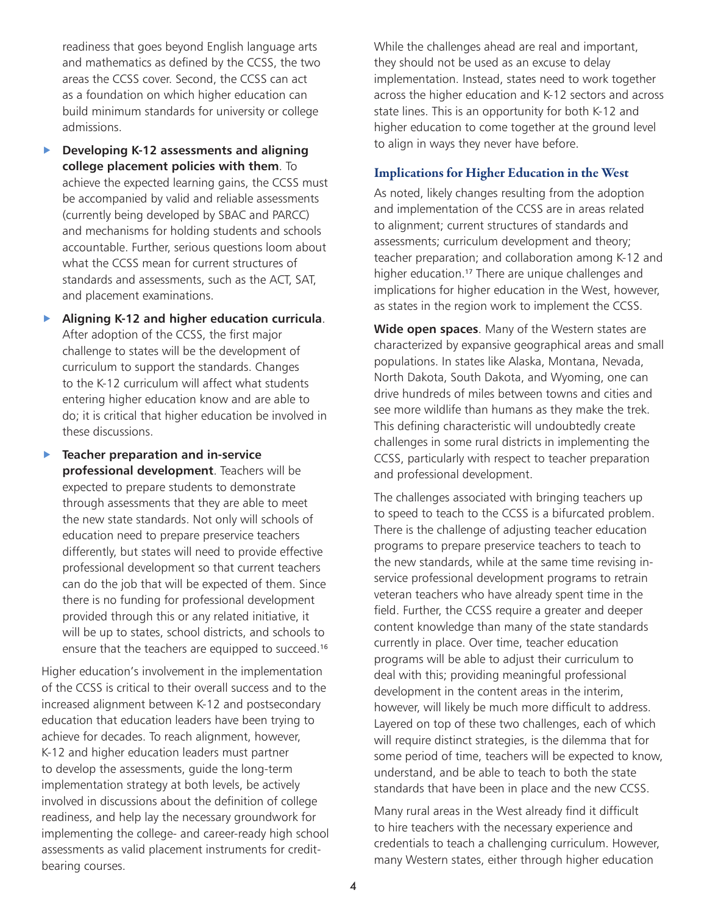readiness that goes beyond English language arts and mathematics as defined by the CCSS, the two areas the CCSS cover. Second, the CCSS can act as a foundation on which higher education can build minimum standards for university or college admissions.

f **Developing K-12 assessments and aligning college placement policies with them**. To achieve the expected learning gains, the CCSS must be accompanied by valid and reliable assessments (currently being developed by SBAC and PARCC) and mechanisms for holding students and schools accountable. Further, serious questions loom about what the CCSS mean for current structures of standards and assessments, such as the ACT, SAT, and placement examinations.

**Aligning K-12 and higher education curricula.** After adoption of the CCSS, the first major challenge to states will be the development of curriculum to support the standards. Changes to the K-12 curriculum will affect what students entering higher education know and are able to do; it is critical that higher education be involved in these discussions.

**Teacher preparation and in-service professional development**. Teachers will be expected to prepare students to demonstrate through assessments that they are able to meet the new state standards. Not only will schools of education need to prepare preservice teachers differently, but states will need to provide effective professional development so that current teachers can do the job that will be expected of them. Since there is no funding for professional development provided through this or any related initiative, it will be up to states, school districts, and schools to ensure that the teachers are equipped to succeed.<sup>16</sup>

Higher education's involvement in the implementation of the CCSS is critical to their overall success and to the increased alignment between K-12 and postsecondary education that education leaders have been trying to achieve for decades. To reach alignment, however, K-12 and higher education leaders must partner to develop the assessments, guide the long-term implementation strategy at both levels, be actively involved in discussions about the definition of college readiness, and help lay the necessary groundwork for implementing the college- and career-ready high school assessments as valid placement instruments for creditbearing courses.

While the challenges ahead are real and important, they should not be used as an excuse to delay implementation. Instead, states need to work together across the higher education and K-12 sectors and across state lines. This is an opportunity for both K-12 and higher education to come together at the ground level to align in ways they never have before.

# Implications for Higher Education in the West

As noted, likely changes resulting from the adoption and implementation of the CCSS are in areas related to alignment; current structures of standards and assessments; curriculum development and theory; teacher preparation; and collaboration among K-12 and higher education.<sup>17</sup> There are unique challenges and implications for higher education in the West, however, as states in the region work to implement the CCSS.

**Wide open spaces**. Many of the Western states are characterized by expansive geographical areas and small populations. In states like Alaska, Montana, Nevada, North Dakota, South Dakota, and Wyoming, one can drive hundreds of miles between towns and cities and see more wildlife than humans as they make the trek. This defining characteristic will undoubtedly create challenges in some rural districts in implementing the CCSS, particularly with respect to teacher preparation and professional development.

The challenges associated with bringing teachers up to speed to teach to the CCSS is a bifurcated problem. There is the challenge of adjusting teacher education programs to prepare preservice teachers to teach to the new standards, while at the same time revising inservice professional development programs to retrain veteran teachers who have already spent time in the field. Further, the CCSS require a greater and deeper content knowledge than many of the state standards currently in place. Over time, teacher education programs will be able to adjust their curriculum to deal with this; providing meaningful professional development in the content areas in the interim, however, will likely be much more difficult to address. Layered on top of these two challenges, each of which will require distinct strategies, is the dilemma that for some period of time, teachers will be expected to know, understand, and be able to teach to both the state standards that have been in place and the new CCSS.

Many rural areas in the West already find it difficult to hire teachers with the necessary experience and credentials to teach a challenging curriculum. However, many Western states, either through higher education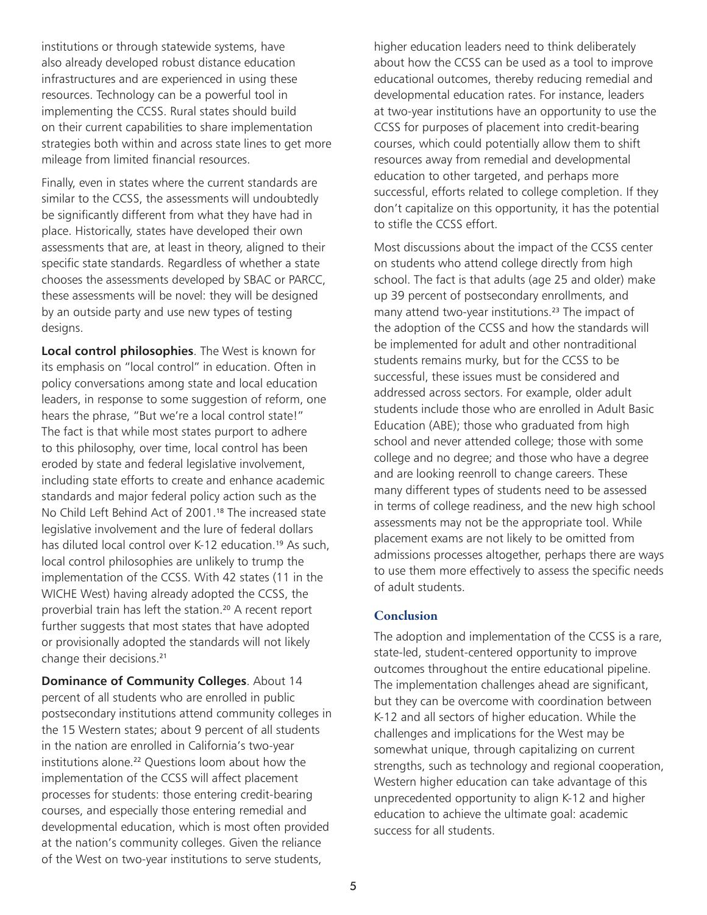institutions or through statewide systems, have also already developed robust distance education infrastructures and are experienced in using these resources. Technology can be a powerful tool in implementing the CCSS. Rural states should build on their current capabilities to share implementation strategies both within and across state lines to get more mileage from limited financial resources.

Finally, even in states where the current standards are similar to the CCSS, the assessments will undoubtedly be significantly different from what they have had in place. Historically, states have developed their own assessments that are, at least in theory, aligned to their specific state standards. Regardless of whether a state chooses the assessments developed by SBAC or PARCC, these assessments will be novel: they will be designed by an outside party and use new types of testing designs.

**Local control philosophies**. The West is known for its emphasis on "local control" in education. Often in policy conversations among state and local education leaders, in response to some suggestion of reform, one hears the phrase, "But we're a local control state!" The fact is that while most states purport to adhere to this philosophy, over time, local control has been eroded by state and federal legislative involvement, including state efforts to create and enhance academic standards and major federal policy action such as the No Child Left Behind Act of 2001.<sup>18</sup> The increased state legislative involvement and the lure of federal dollars has diluted local control over K-12 education.<sup>19</sup> As such, local control philosophies are unlikely to trump the implementation of the CCSS. With 42 states (11 in the WICHE West) having already adopted the CCSS, the proverbial train has left the station.<sup>20</sup> A recent report further suggests that most states that have adopted or provisionally adopted the standards will not likely change their decisions.<sup>21</sup>

**Dominance of Community Colleges**. About 14 percent of all students who are enrolled in public postsecondary institutions attend community colleges in the 15 Western states; about 9 percent of all students in the nation are enrolled in California's two-year institutions alone.<sup>22</sup> Questions loom about how the implementation of the CCSS will affect placement processes for students: those entering credit-bearing courses, and especially those entering remedial and developmental education, which is most often provided at the nation's community colleges. Given the reliance of the West on two-year institutions to serve students,

higher education leaders need to think deliberately about how the CCSS can be used as a tool to improve educational outcomes, thereby reducing remedial and developmental education rates. For instance, leaders at two-year institutions have an opportunity to use the CCSS for purposes of placement into credit-bearing courses, which could potentially allow them to shift resources away from remedial and developmental education to other targeted, and perhaps more successful, efforts related to college completion. If they don't capitalize on this opportunity, it has the potential to stifle the CCSS effort.

Most discussions about the impact of the CCSS center on students who attend college directly from high school. The fact is that adults (age 25 and older) make up 39 percent of postsecondary enrollments, and many attend two-year institutions.<sup>23</sup> The impact of the adoption of the CCSS and how the standards will be implemented for adult and other nontraditional students remains murky, but for the CCSS to be successful, these issues must be considered and addressed across sectors. For example, older adult students include those who are enrolled in Adult Basic Education (ABE); those who graduated from high school and never attended college; those with some college and no degree; and those who have a degree and are looking reenroll to change careers. These many different types of students need to be assessed in terms of college readiness, and the new high school assessments may not be the appropriate tool. While placement exams are not likely to be omitted from admissions processes altogether, perhaps there are ways to use them more effectively to assess the specific needs of adult students.

### **Conclusion**

The adoption and implementation of the CCSS is a rare, state-led, student-centered opportunity to improve outcomes throughout the entire educational pipeline. The implementation challenges ahead are significant, but they can be overcome with coordination between K-12 and all sectors of higher education. While the challenges and implications for the West may be somewhat unique, through capitalizing on current strengths, such as technology and regional cooperation, Western higher education can take advantage of this unprecedented opportunity to align K-12 and higher education to achieve the ultimate goal: academic success for all students.